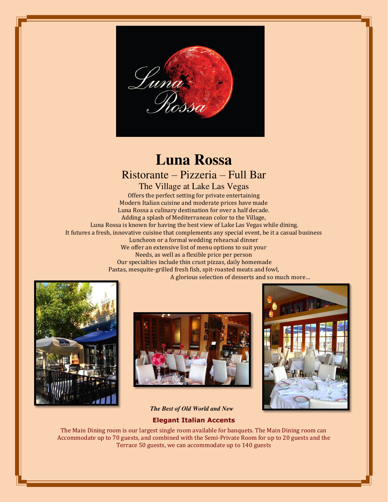

# **Luna Rossa**  Ristorante – Pizzeria – Full Bar

The Village at Lake Las Vegas Offers the perfect setting for private entertaining Modern Italian cuisine and moderate prices have made Luna Rossa a culinary destination for over a half decade. Adding a splash of Mediterranean color to the Village, Luna Rossa is known for having the best view of Lake Las Vegas while dining. It futures a fresh, innovative cuisine that complements any special event, be it a casual business Luncheon or a formal wedding rehearsal dinner We offer an extensive list of menu options to suit your Needs, as well as a flexible price per person Our specialties include thin crust pizzas, daily homemade Pastas, mesquite-grilled fresh fish, spit-roasted meats and fowl, A glorious selection of desserts and so much more…







*The Best of Old World and New* 

#### **Elegant Italian Accents**

The Main Dining room is our largest single room available for banquets. The Main Dining room can Accommodate up to 70 guests, and combined with the Semi-Private Room for up to 20 guests and the Terrace 50 guests, we can accommodate up to 140 guests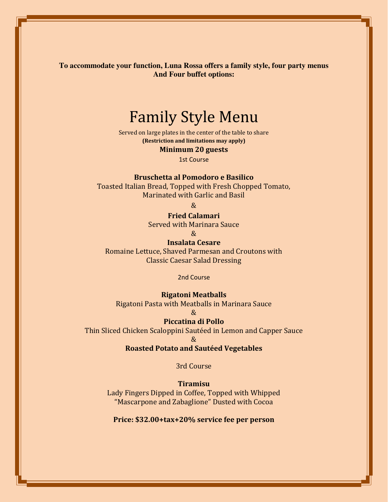**To accommodate your function, Luna Rossa offers a family style, four party menus And Four buffet options:** 

# Family Style Menu

Served on large plates in the center of the table to share **(Restriction and limitations may apply)** 

**Minimum 20 guests** 

1st Course

**Bruschetta al Pomodoro e Basilico** 

Toasted Italian Bread, Topped with Fresh Chopped Tomato, Marinated with Garlic and Basil

 $\mathcal{R}_{\mathcal{F}}$ 

### **Fried Calamari**

Served with Marinara Sauce

&

**Insalata Cesare**  Romaine Lettuce, Shaved Parmesan and Croutons with

Classic Caesar Salad Dressing

2nd Course

#### **Rigatoni Meatballs**

Rigatoni Pasta with Meatballs in Marinara Sauce

## $\mathcal{R}_{I}$

**Piccatina di Pollo** 

Thin Sliced Chicken Scaloppini Sautéed in Lemon and Capper Sauce &

#### **Roasted Potato and Sautéed Vegetables**

3rd Course

### **Tiramisu**

Lady Fingers Dipped in Coffee, Topped with Whipped "Mascarpone and Zabaglione" Dusted with Cocoa

**Price: \$32.00+tax+20% service fee per person**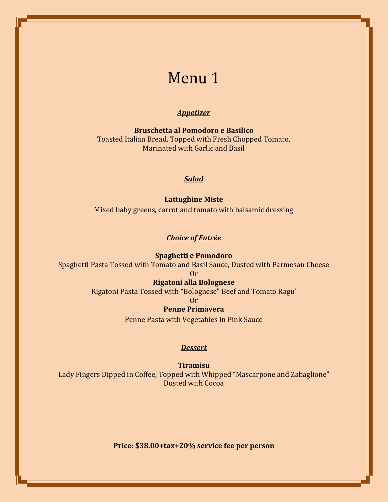## *Appetizer*

**Bruschetta al Pomodoro e Basilico**  Toasted Italian Bread, Topped with Fresh Chopped Tomato, Marinated with Garlic and Basil

### *Salad*

**Lattughine Miste**  Mixed baby greens, carrot and tomato with balsamic dressing

#### *Choice of Entrée*

**Spaghetti e Pomodoro**  Spaghetti Pasta Tossed with Tomato and Basil Sauce, Dusted with Parmesan Cheese

Or

# **Rigatoni alla Bolognese**

Rigatoni Pasta Tossed with "Bolognese" Beef and Tomato Ragu'

Or

#### **Penne Primavera**

Penne Pasta with Vegetables in Pink Sauce

#### *Dessert*

**Tiramisu**  Lady Fingers Dipped in Coffee, Topped with Whipped "Mascarpone and Zabaglione" Dusted with Cocoa

**Price: \$38.00+tax+20% service fee per person**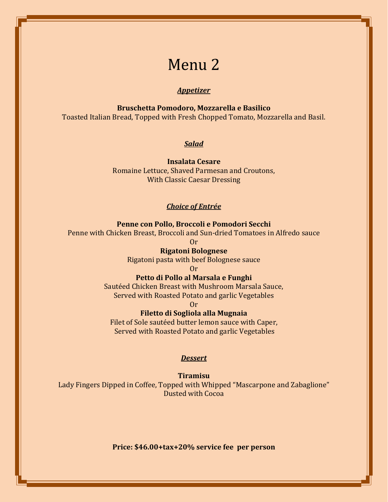### *Appetizer*

**Bruschetta Pomodoro, Mozzarella e Basilico** 

Toasted Italian Bread, Topped with Fresh Chopped Tomato, Mozzarella and Basil.

### *Salad*

**Insalata Cesare**  Romaine Lettuce, Shaved Parmesan and Croutons, With Classic Caesar Dressing

#### *Choice of Entrée*

### **Penne con Pollo, Broccoli e Pomodori Secchi**

Penne with Chicken Breast, Broccoli and Sun-dried Tomatoes in Alfredo sauce

Or

## **Rigatoni Bolognese**

Rigatoni pasta with beef Bolognese sauce

#### Or

**Petto di Pollo al Marsala e Funghi** 

Sautéed Chicken Breast with Mushroom Marsala Sauce, Served with Roasted Potato and garlic Vegetables

#### Or

### **Filetto di Sogliola alla Mugnaia**

Filet of Sole sautéed butter lemon sauce with Caper, Served with Roasted Potato and garlic Vegetables

#### *Dessert*

#### **Tiramisu**

Lady Fingers Dipped in Coffee, Topped with Whipped "Mascarpone and Zabaglione" Dusted with Cocoa

**Price: \$46.00+tax+20% service fee per person**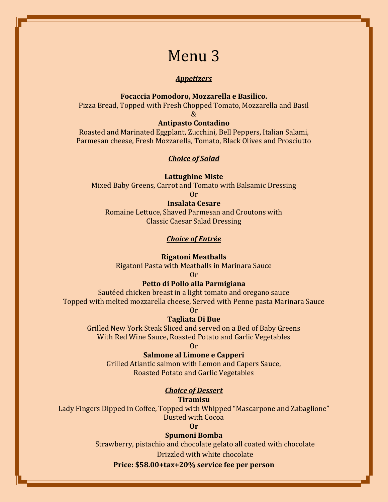#### *Appetizers*

#### **Focaccia Pomodoro, Mozzarella e Basilico.**

Pizza Bread, Topped with Fresh Chopped Tomato, Mozzarella and Basil

&

# **Antipasto Contadino**

Roasted and Marinated Eggplant, Zucchini, Bell Peppers, Italian Salami, Parmesan cheese, Fresh Mozzarella, Tomato, Black Olives and Prosciutto

#### *Choice of Salad*

#### **Lattughine Miste**

Mixed Baby Greens, Carrot and Tomato with Balsamic Dressing

Or

### **Insalata Cesare**

Romaine Lettuce, Shaved Parmesan and Croutons with Classic Caesar Salad Dressing

#### *Choice of Entrée*

#### **Rigatoni Meatballs**

Rigatoni Pasta with Meatballs in Marinara Sauce

Or

## **Petto di Pollo alla Parmigiana**

Sautéed chicken breast in a light tomato and oregano sauce Topped with melted mozzarella cheese, Served with Penne pasta Marinara Sauce

Or

#### **Tagliata Di Bue**

Grilled New York Steak Sliced and served on a Bed of Baby Greens With Red Wine Sauce, Roasted Potato and Garlic Vegetables

Or

#### **Salmone al Limone e Capperi**

Grilled Atlantic salmon with Lemon and Capers Sauce, Roasted Potato and Garlic Vegetables

### *Choice of Dessert*

**Tiramisu** 

Lady Fingers Dipped in Coffee, Topped with Whipped "Mascarpone and Zabaglione" Dusted with Cocoa

**Or**

#### **Spumoni Bomba**

Strawberry, pistachio and chocolate gelato all coated with chocolate

Drizzled with white chocolate

#### **Price: \$58.00+tax+20% service fee per person**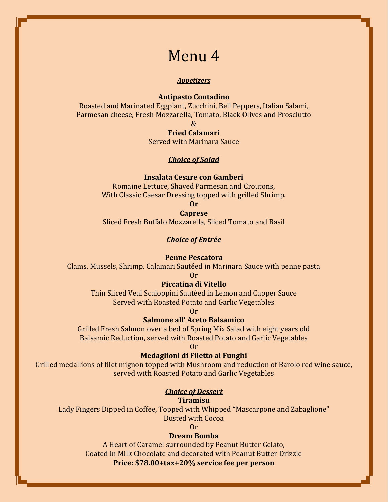#### *Appetizers*

#### **Antipasto Contadino**

Roasted and Marinated Eggplant, Zucchini, Bell Peppers, Italian Salami, Parmesan cheese, Fresh Mozzarella, Tomato, Black Olives and Prosciutto

 $\mathcal{R}$ 

**Fried Calamari** 

Served with Marinara Sauce

#### *Choice of Salad*

#### **Insalata Cesare con Gamberi**

Romaine Lettuce, Shaved Parmesan and Croutons, With Classic Caesar Dressing topped with grilled Shrimp.

**Or**

#### **Caprese**

Sliced Fresh Buffalo Mozzarella, Sliced Tomato and Basil

#### *Choice of Entrée*

#### **Penne Pescatora**

Clams, Mussels, Shrimp, Calamari Sautéed in Marinara Sauce with penne pasta

Or

#### **Piccatina di Vitello**

Thin Sliced Veal Scaloppini Sautéed in Lemon and Capper Sauce Served with Roasted Potato and Garlic Vegetables

Or

#### **Salmone all' Aceto Balsamico**

Grilled Fresh Salmon over a bed of Spring Mix Salad with eight years old Balsamic Reduction, served with Roasted Potato and Garlic Vegetables

Or

#### **Medaglioni di Filetto ai Funghi**

Grilled medallions of filet mignon topped with Mushroom and reduction of Barolo red wine sauce, served with Roasted Potato and Garlic Vegetables

#### *Choice of Dessert*

**Tiramisu** 

Lady Fingers Dipped in Coffee, Topped with Whipped "Mascarpone and Zabaglione" Dusted with Cocoa

Or

# **Dream Bomba**

A Heart of Caramel surrounded by Peanut Butter Gelato, Coated in Milk Chocolate and decorated with Peanut Butter Drizzle **Price: \$78.00+tax+20% service fee per person**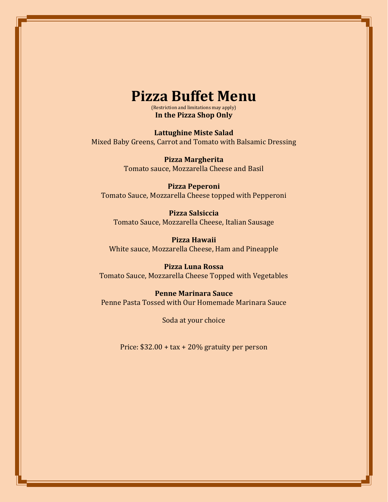# **Pizza Buffet Menu**

(Restriction and limitations may apply) **In the Pizza Shop Only** 

**Lattughine Miste Salad**  Mixed Baby Greens, Carrot and Tomato with Balsamic Dressing

> **Pizza Margherita**  Tomato sauce, Mozzarella Cheese and Basil

**Pizza Peperoni**  Tomato Sauce, Mozzarella Cheese topped with Pepperoni

**Pizza Salsiccia**  Tomato Sauce, Mozzarella Cheese, Italian Sausage

**Pizza Hawaii**  White sauce, Mozzarella Cheese, Ham and Pineapple

**Pizza Luna Rossa**  Tomato Sauce, Mozzarella Cheese Topped with Vegetables

**Penne Marinara Sauce**  Penne Pasta Tossed with Our Homemade Marinara Sauce

Soda at your choice

Price: \$32.00 + tax + 20% gratuity per person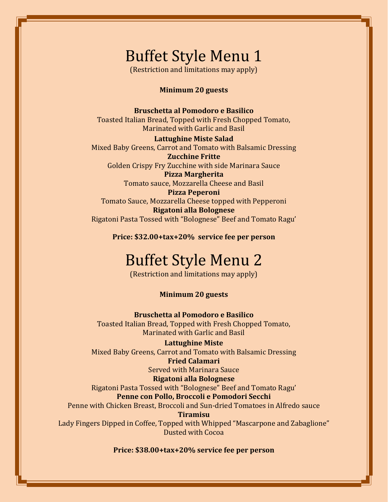# Buffet Style Menu 1

(Restriction and limitations may apply)

## **Minimum 20 guests**

#### **Bruschetta al Pomodoro e Basilico**

Toasted Italian Bread, Topped with Fresh Chopped Tomato, Marinated with Garlic and Basil

#### **Lattughine Miste Salad**

Mixed Baby Greens, Carrot and Tomato with Balsamic Dressing **Zucchine Fritte** 

Golden Crispy Fry Zucchine with side Marinara Sauce **Pizza Margherita** 

Tomato sauce, Mozzarella Cheese and Basil

## **Pizza Peperoni**

Tomato Sauce, Mozzarella Cheese topped with Pepperoni **Rigatoni alla Bolognese**  Rigatoni Pasta Tossed with "Bolognese" Beef and Tomato Ragu'

**Price: \$32.00+tax+20% service fee per person** 

# Buffet Style Menu 2

(Restriction and limitations may apply)

#### **Minimum 20 guests**

**Bruschetta al Pomodoro e Basilico**  Toasted Italian Bread, Topped with Fresh Chopped Tomato, Marinated with Garlic and Basil

#### **Lattughine Miste**

Mixed Baby Greens, Carrot and Tomato with Balsamic Dressing

### **Fried Calamari**

Served with Marinara Sauce

#### **Rigatoni alla Bolognese**

Rigatoni Pasta Tossed with "Bolognese" Beef and Tomato Ragu'

# **Penne con Pollo, Broccoli e Pomodori Secchi**

Penne with Chicken Breast, Broccoli and Sun-dried Tomatoes in Alfredo sauce **Tiramisu** 

Lady Fingers Dipped in Coffee, Topped with Whipped "Mascarpone and Zabaglione" Dusted with Cocoa

**Price: \$38.00+tax+20% service fee per person**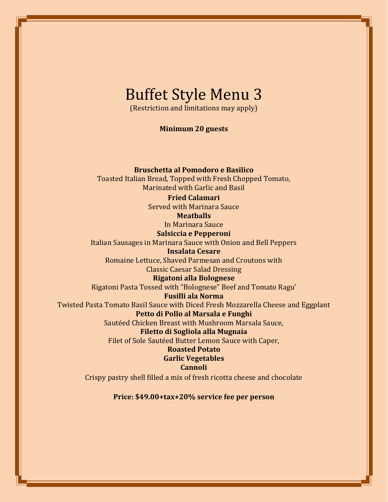# Buffet Style Menu 3

(Restriction and limitations may apply)

**Minimum 20 guests** 

# **Bruschetta al Pomodoro e Basilico**

Toasted Italian Bread, Topped with Fresh Chopped Tomato, Marinated with Garlic and Basil

### **Fried Calamari**

Served with Marinara Sauce

# **Meatballs**

In Marinara Sauce

### **Salsiccia e Pepperoni**

Italian Sausages in Marinara Sauce with Onion and Bell Peppers

## **Insalata Cesare**

Romaine Lettuce, Shaved Parmesan and Croutons with Classic Caesar Salad Dressing

# **Rigatoni alla Bolognese**

Rigatoni Pasta Tossed with "Bolognese" Beef and Tomato Ragu'

#### **Fusilli ala Norma**

Twisted Pasta Tomato Basil Sauce with Diced Fresh Mozzarella Cheese and Eggplant **Petto di Pollo al Marsala e Funghi** 

Sautéed Chicken Breast with Mushroom Marsala Sauce,

## **Filetto di Sogliola alla Mugnaia**

Filet of Sole Sautéed Butter Lemon Sauce with Caper,

# **Roasted Potato Garlic Vegetables**

## **Cannoli**

Crispy pastry shell filled a mix of fresh ricotta cheese and chocolate

#### **Price: \$49.00+tax+20% service fee per person**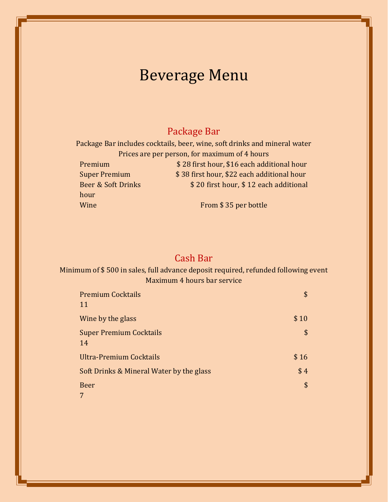# Beverage Menu

# Package Bar

Package Bar includes cocktails, beer, wine, soft drinks and mineral water Prices are per person, for maximum of 4 hours Premium  $$ 28$  first hour, \$16 each additional hour Super Premium  $$38$  first hour, \$22 each additional hour Beer & Soft Drinks  $$ 20$  first hour, \$12 each additional hour Wine From \$ 35 per bottle

# Cash Bar

# Minimum of \$ 500 in sales, full advance deposit required, refunded following event Maximum 4 hours bar service

| <b>Premium Cocktails</b><br>11           | \$   |
|------------------------------------------|------|
| Wine by the glass                        | \$10 |
| <b>Super Premium Cocktails</b><br>14     | \$   |
| Ultra-Premium Cocktails                  | \$16 |
| Soft Drinks & Mineral Water by the glass | \$4  |
| <b>Beer</b>                              | \$   |